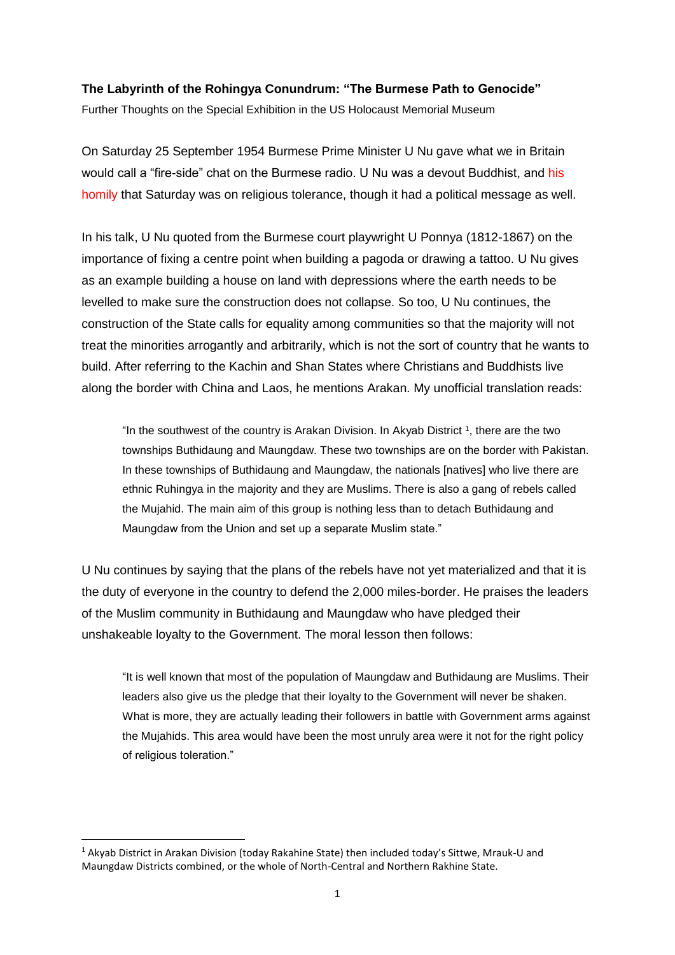## **The Labyrinth of the Rohingya Conundrum: "The Burmese Path to Genocide"**

Further Thoughts on the Special Exhibition in the US Holocaust Memorial Museum

On Saturday 25 September 1954 Burmese Prime Minister U Nu gave what we in Britain would call a "fire-side" chat on the Burmese radio. U Nu was a devout Buddhist, and [his](http://www.networkmyanmar.org/ESW/Files/U-Nu-1954-rev.pdf)  [homily](http://www.networkmyanmar.org/ESW/Files/U-Nu-1954-rev.pdf) that Saturday was on religious tolerance, though it had a political message as well.

In his talk, U Nu quoted from the Burmese court playwright U Ponnya (1812-1867) on the importance of fixing a centre point when building a pagoda or drawing a tattoo. U Nu gives as an example building a house on land with depressions where the earth needs to be levelled to make sure the construction does not collapse. So too, U Nu continues, the construction of the State calls for equality among communities so that the majority will not treat the minorities arrogantly and arbitrarily, which is not the sort of country that he wants to build. After referring to the Kachin and Shan States where Christians and Buddhists live along the border with China and Laos, he mentions Arakan. My unofficial translation reads:

"In the southwest of the country is Arakan Division. In Akyab District  $1$ , there are the two townships Buthidaung and Maungdaw. These two townships are on the border with Pakistan. In these townships of Buthidaung and Maungdaw, the nationals [natives] who live there are ethnic Ruhingya in the majority and they are Muslims. There is also a gang of rebels called the Mujahid. The main aim of this group is nothing less than to detach Buthidaung and Maungdaw from the Union and set up a separate Muslim state."

U Nu continues by saying that the plans of the rebels have not yet materialized and that it is the duty of everyone in the country to defend the 2,000 miles-border. He praises the leaders of the Muslim community in Buthidaung and Maungdaw who have pledged their unshakeable loyalty to the Government. The moral lesson then follows:

"It is well known that most of the population of Maungdaw and Buthidaung are Muslims. Their leaders also give us the pledge that their loyalty to the Government will never be shaken. What is more, they are actually leading their followers in battle with Government arms against the Mujahids. This area would have been the most unruly area were it not for the right policy of religious toleration."

<sup>1</sup> Akyab District in Arakan Division (today Rakahine State) then included today's Sittwe, Mrauk-U and Maungdaw Districts combined, or the whole of North-Central and Northern Rakhine State.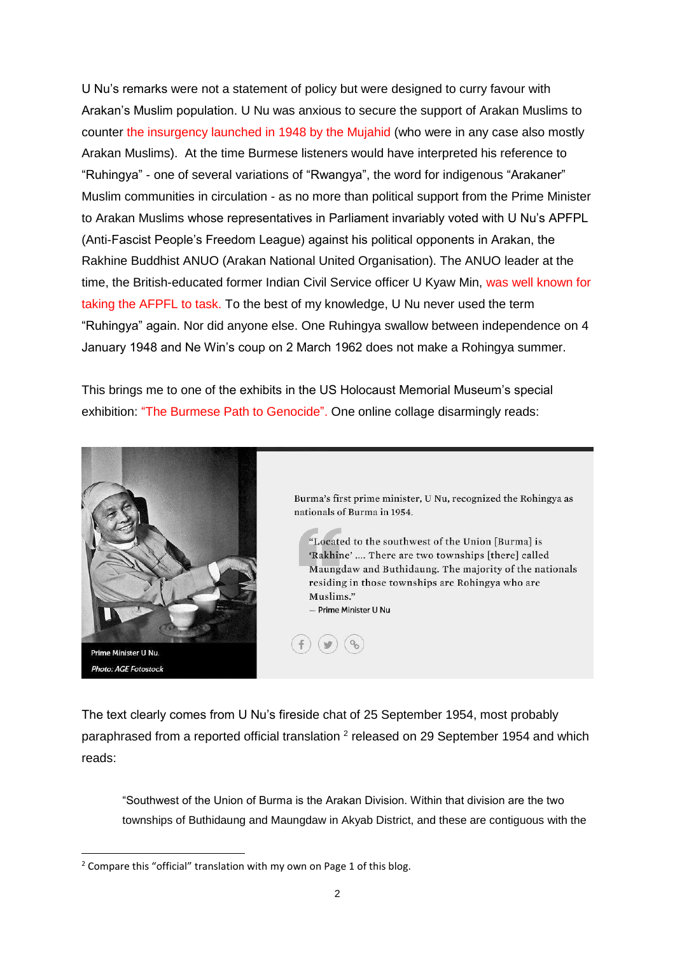U Nu's remarks were not a statement of policy but were designed to curry favour with Arakan's Muslim population. U Nu was anxious to secure the support of Arakan Muslims to counter [the insurgency launched in 1948 by the](http://www.networkmyanmar.org/ESW/Files/Pearn-1952-rev.pdf) Mujahid (who were in any case also mostly Arakan Muslims). At the time Burmese listeners would have interpreted his reference to "Ruhingya" - one of several variations of "Rwangya", the word for indigenous "Arakaner" Muslim communities in circulation - as no more than political support from the Prime Minister to Arakan Muslims whose representatives in Parliament invariably voted with U Nu's APFPL (Anti-Fascist People's Freedom League) against his political opponents in Arakan, the Rakhine Buddhist ANUO (Arakan National United Organisation). The ANUO leader at the time, the British-educated former Indian Civil Service officer U Kyaw Min, was [well known for](http://networkmyanmar.org/ESW/Files/Arakan-Kyaw-Min.pdf)  [taking the AFPFL to task.](http://networkmyanmar.org/ESW/Files/Arakan-Kyaw-Min.pdf) To the best of my knowledge, U Nu never used the term "Ruhingya" again. Nor did anyone else. One Ruhingya swallow between independence on 4 January 1948 and Ne Win's coup on 2 March 1962 does not make a Rohingya summer.

This brings me to one of the exhibits in the US Holocaust Memorial Museum's special exhibition: ["The Burmese Path to Genocide"](https://exhibitions.ushmm.org/burmas-path-to-genocide). One online collage disarmingly reads:



**.** 

Burma's first prime minister, U Nu, recognized the Rohingya as nationals of Burma in 1954.

"Located to the southwest of the Union [Burma] is 'Rakhine' .... There are two townships [there] called Maungdaw and Buthidaung. The majority of the nationals residing in those townships are Rohingya who are Muslims." - Prime Minister U Nu

The text clearly comes from U Nu's fireside chat of 25 September 1954, most probably paraphrased from a reported official translation <sup>2</sup> released on 29 September 1954 and which reads:

"Southwest of the Union of Burma is the Arakan Division. Within that division are the two townships of Buthidaung and Maungdaw in Akyab District, and these are contiguous with the

<sup>&</sup>lt;sup>2</sup> Compare this "official" translation with my own on Page 1 of this blog.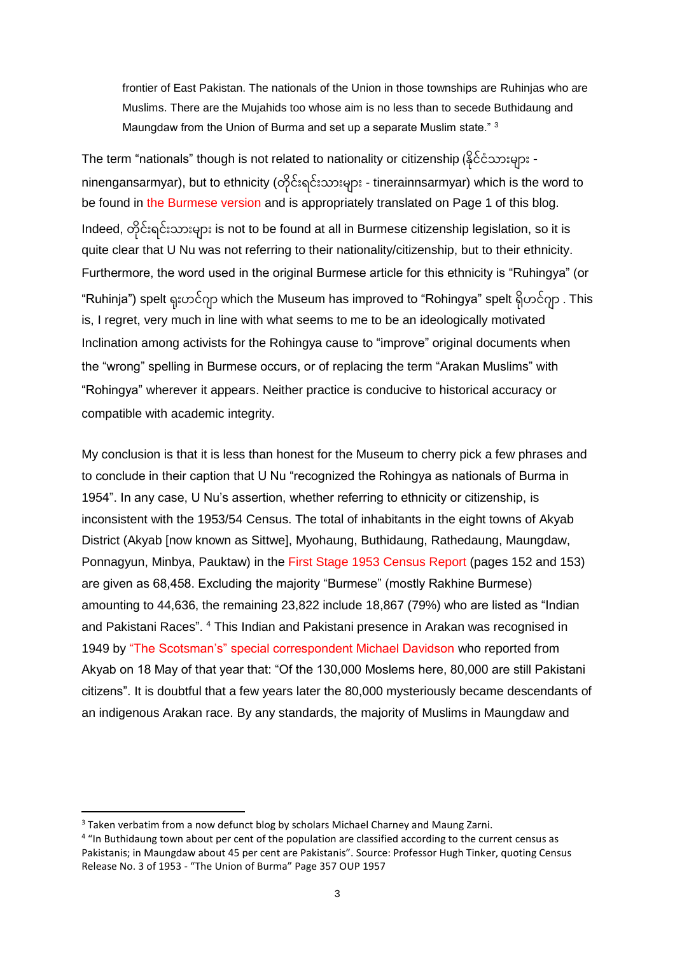frontier of East Pakistan. The nationals of the Union in those townships are Ruhinjas who are Muslims. There are the Mujahids too whose aim is no less than to secede Buthidaung and Maungdaw from the Union of Burma and set up a separate Muslim state." <sup>3</sup>

The term "nationals" though is not related to nationality or citizenship (နိုင်ငံသားများ ninengansarmyar), but to ethnicity (တိုင်းရင်းသားများ - tinerainnsarmyar) which is the word to be found in [the Burmese version](http://www.networkmyanmar.org/ESW/Files/U-Nu-1954-rev.pdf) and is appropriately translated on Page 1 of this blog. Indeed, တိုင်းရင်းသားများ is not to be found at all in Burmese citizenship legislation, so it is quite clear that U Nu was not referring to their nationality/citizenship, but to their ethnicity. Furthermore, the word used in the original Burmese article for this ethnicity is "Ruhingya" (or "Ruhinja") spelt ရုးဟင်ဂျာ which the Museum has improved to "Rohingya" spelt ရိုဟင်ဂျာ . This is, I regret, very much in line with what seems to me to be an ideologically motivated Inclination among activists for the Rohingya cause to "improve" original documents when the "wrong" spelling in Burmese occurs, or of replacing the term "Arakan Muslims" with "Rohingya" wherever it appears. Neither practice is conducive to historical accuracy or compatible with academic integrity.

My conclusion is that it is less than honest for the Museum to cherry pick a few phrases and to conclude in their caption that U Nu "recognized the Rohingya as nationals of Burma in 1954". In any case, U Nu's assertion, whether referring to ethnicity or citizenship, is inconsistent with the 1953/54 Census. The total of inhabitants in the eight towns of Akyab District (Akyab [now known as Sittwe], Myohaung, Buthidaung, Rathedaung, Maungdaw, Ponnagyun, Minbya, Pauktaw) in the [First Stage 1953](http://www.networkmyanmar.org/ESW/Files/Extract_1953_Census.pdf) Census Report (pages 152 and 153) are given as 68,458. Excluding the majority "Burmese" (mostly Rakhine Burmese) amounting to 44,636, the remaining 23,822 include 18,867 (79%) who are listed as "Indian and Pakistani Races". <sup>4</sup> This Indian and Pakistani presence in Arakan was recognised in 1949 by ["The Scotsman's" special correspondent Michael Davidson](http://www.networkmyanmar.org/ESW/Files/Scotsman-Arakan.pdf) who reported from Akyab on 18 May of that year that: "Of the 130,000 Moslems here, 80,000 are still Pakistani citizens". It is doubtful that a few years later the 80,000 mysteriously became descendants of an indigenous Arakan race. By any standards, the majority of Muslims in Maungdaw and

<sup>&</sup>lt;sup>3</sup> Taken verbatim from a now defunct blog by scholars Michael Charney and Maung Zarni.

<sup>&</sup>lt;sup>4</sup> "In Buthidaung town about per cent of the population are classified according to the current census as Pakistanis; in Maungdaw about 45 per cent are Pakistanis". Source: Professor Hugh Tinker, quoting Census Release No. 3 of 1953 - "The Union of Burma" Page 357 OUP 1957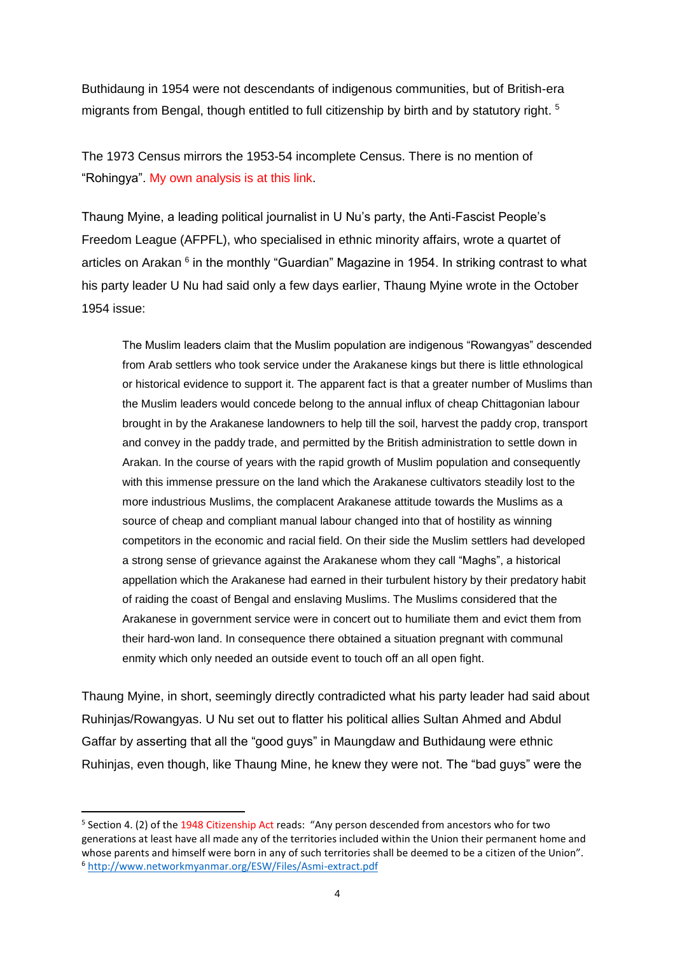Buthidaung in 1954 were not descendants of indigenous communities, but of British-era migrants from Bengal, though entitled to full citizenship by birth and by statutory right. 5

The 1973 Census mirrors the 1953-54 incomplete Census. There is no mention of "Rohingya". [My own analysis is at this link.](http://www.networkmyanmar.org/ESW/Files/1973-Census-of-Burma.pdf)

Thaung Myine, a leading political journalist in U Nu's party, the Anti-Fascist People's Freedom League (AFPFL), who specialised in ethnic minority affairs, wrote a quartet of articles on Arakan <sup>6</sup> in the monthly "Guardian" Magazine in 1954. In striking contrast to what his party leader U Nu had said only a few days earlier, Thaung Myine wrote in the October 1954 issue:

The Muslim leaders claim that the Muslim population are indigenous "Rowangyas" descended from Arab settlers who took service under the Arakanese kings but there is little ethnological or historical evidence to support it. The apparent fact is that a greater number of Muslims than the Muslim leaders would concede belong to the annual influx of cheap Chittagonian labour brought in by the Arakanese landowners to help till the soil, harvest the paddy crop, transport and convey in the paddy trade, and permitted by the British administration to settle down in Arakan. In the course of years with the rapid growth of Muslim population and consequently with this immense pressure on the land which the Arakanese cultivators steadily lost to the more industrious Muslims, the complacent Arakanese attitude towards the Muslims as a source of cheap and compliant manual labour changed into that of hostility as winning competitors in the economic and racial field. On their side the Muslim settlers had developed a strong sense of grievance against the Arakanese whom they call "Maghs", a historical appellation which the Arakanese had earned in their turbulent history by their predatory habit of raiding the coast of Bengal and enslaving Muslims. The Muslims considered that the Arakanese in government service were in concert out to humiliate them and evict them from their hard-won land. In consequence there obtained a situation pregnant with communal enmity which only needed an outside event to touch off an all open fight.

Thaung Myine, in short, seemingly directly contradicted what his party leader had said about Ruhinjas/Rowangyas. U Nu set out to flatter his political allies Sultan Ahmed and Abdul Gaffar by asserting that all the "good guys" in Maungdaw and Buthidaung were ethnic Ruhinjas, even though, like Thaung Mine, he knew they were not. The "bad guys" were the

<sup>&</sup>lt;sup>5</sup> Section 4. (2) of th[e 1948 Citizenship Act](https://www.burmalibrary.org/sites/burmalibrary.org/files/obl/docs/UNION_CITIZENSHIP_ACT-1948.htm) reads: "Any person descended from ancestors who for two generations at least have all made any of the territories included within the Union their permanent home and whose parents and himself were born in any of such territories shall be deemed to be a citizen of the Union". <sup>6</sup> <http://www.networkmyanmar.org/ESW/Files/Asmi-extract.pdf>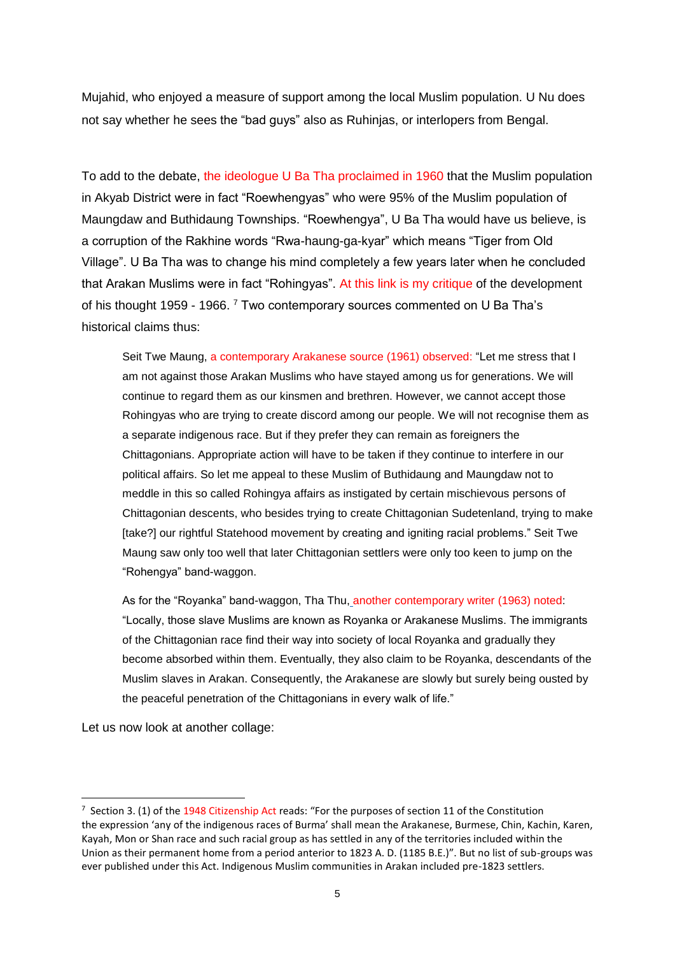Mujahid, who enjoyed a measure of support among the local Muslim population. U Nu does not say whether he sees the "bad guys" also as Ruhinjas, or interlopers from Bengal.

To add to the debate, the [ideologue U Ba Tha proclaimed in 1960](http://www.networkmyanmar.org/ESW/Files/Ba-Tha-May-1960.pdf) that the Muslim population in Akyab District were in fact "Roewhengyas" who were 95% of the Muslim population of Maungdaw and Buthidaung Townships. "Roewhengya", U Ba Tha would have us believe, is a corruption of the Rakhine words "Rwa-haung-ga-kyar" which means "Tiger from Old Village". U Ba Tha was to change his mind completely a few years later when he concluded that Arakan Muslims were in fact "Rohingyas". [At this link](http://www.networkmyanmar.org/ESW/Files/Ba-Tha-critique.pdf) is my critique of the development of his thought 1959 - 1966.<sup>7</sup> Two contemporary sources commented on U Ba Tha's historical claims thus:

Seit Twe Maung, [a contemporary Arakanese source \(1961\) observed:](http://www.networkmyanmar.org/ESW/Files/Seit-Twe-Maung.pdf) "Let me stress that I am not against those Arakan Muslims who have stayed among us for generations. We will continue to regard them as our kinsmen and brethren. However, we cannot accept those Rohingyas who are trying to create discord among our people. We will not recognise them as a separate indigenous race. But if they prefer they can remain as foreigners the Chittagonians. Appropriate action will have to be taken if they continue to interfere in our political affairs. So let me appeal to these Muslim of Buthidaung and Maungdaw not to meddle in this so called Rohingya affairs as instigated by certain mischievous persons of Chittagonian descents, who besides trying to create Chittagonian Sudetenland, trying to make [take?] our rightful Statehood movement by creating and igniting racial problems." Seit Twe Maung saw only too well that later Chittagonian settlers were only too keen to jump on the "Rohengya" band-waggon.

As for the "Royanka" band-waggon, Tha Thu, [another contemporary writer](http://www.networkmyanmar.org/ESW/Files/Tha-Thu-Akyab.pdf) (1963) noted: "Locally, those slave Muslims are known as Royanka or Arakanese Muslims. The immigrants of the Chittagonian race find their way into society of local Royanka and gradually they become absorbed within them. Eventually, they also claim to be Royanka, descendants of the Muslim slaves in Arakan. Consequently, the Arakanese are slowly but surely being ousted by the peaceful penetration of the Chittagonians in every walk of life."

Let us now look at another collage:

 $\overline{a}$ 

<sup>&</sup>lt;sup>7</sup> Section 3. (1) of th[e 1948 Citizenship Act](https://www.burmalibrary.org/sites/burmalibrary.org/files/obl/docs/UNION_CITIZENSHIP_ACT-1948.htm) reads: "For the purposes of section 11 of the Constitution the expression 'any of the indigenous races of Burma' shall mean the Arakanese, Burmese, Chin, Kachin, Karen, Kayah, Mon or Shan race and such racial group as has settled in any of the territories included within the Union as their permanent home from a period anterior to 1823 A. D. (1185 B.E.)". But no list of sub-groups was ever published under this Act. Indigenous Muslim communities in Arakan included pre-1823 settlers.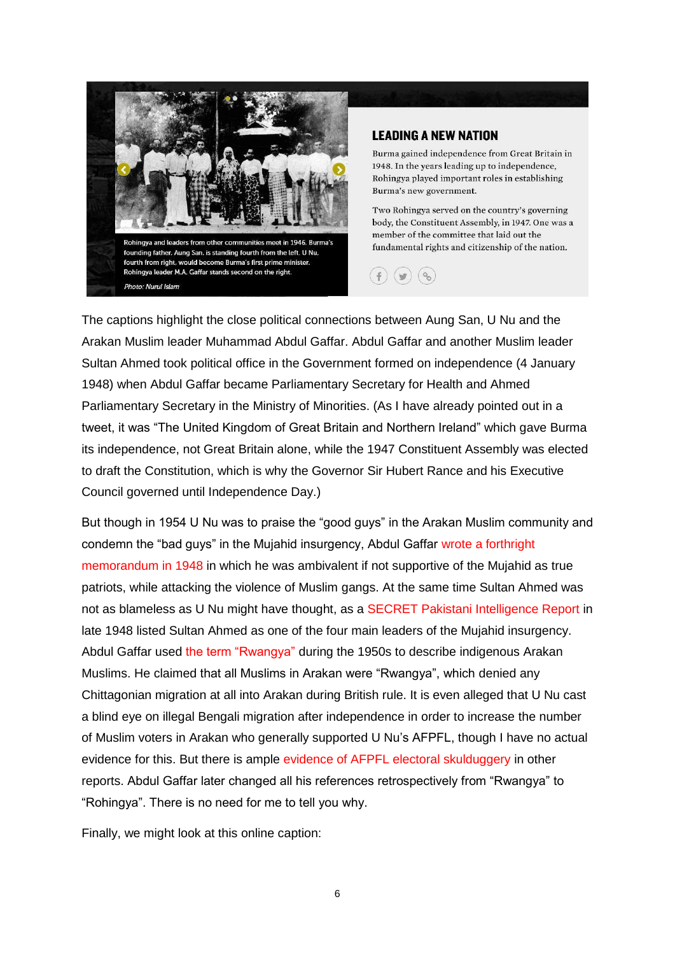

## **LEADING A NEW NATION**

Burma gained independence from Great Britain in 1948. In the years leading up to independence, Rohingya played important roles in establishing Burma's new government.

Two Rohingya served on the country's governing body, the Constituent Assembly, in 1947. One was a member of the committee that laid out the fundamental rights and citizenship of the nation.



The captions highlight the close political connections between Aung San, U Nu and the Arakan Muslim leader Muhammad Abdul Gaffar. Abdul Gaffar and another Muslim leader Sultan Ahmed took political office in the Government formed on independence (4 January 1948) when Abdul Gaffar became Parliamentary Secretary for Health and Ahmed Parliamentary Secretary in the Ministry of Minorities. (As I have already pointed out in a tweet, it was "The United Kingdom of Great Britain and Northern Ireland" which gave Burma its independence, not Great Britain alone, while the 1947 Constituent Assembly was elected to draft the Constitution, which is why the Governor Sir Hubert Rance and his Executive Council governed until Independence Day.)

But though in 1954 U Nu was to praise the "good guys" in the Arakan Muslim community and condemn the "bad guys" in the Mujahid insurgency, Abdul Gaffar [wrote a forthright](http://www.networkmyanmar.org/ESW/Files/Gaffar-Memo.pdf)  [memorandum in 1948](http://www.networkmyanmar.org/ESW/Files/Gaffar-Memo.pdf) in which he was ambivalent if not supportive of the Mujahid as true patriots, while attacking the violence of Muslim gangs. At the same time Sultan Ahmed was not as blameless as U Nu might have thought, as a SECRET [Pakistani Intelligence Report](http://www.networkmyanmar.org/ESW/Files/Niblett-Papers.pdf) in late 1948 listed Sultan Ahmed as one of the four main leaders of the Mujahid insurgency. Abdul Gaffar used [the term "Rwangya"](http://www.networkmyanmar.org/ESW/Files/Rwangya.pdf) during the 1950s to describe indigenous Arakan Muslims. He claimed that all Muslims in Arakan were "Rwangya", which denied any Chittagonian migration at all into Arakan during British rule. It is even alleged that U Nu cast a blind eye on illegal Bengali migration after independence in order to increase the number of Muslim voters in Arakan who generally supported U Nu's AFPFL, though I have no actual evidence for this. But there is ample [evidence of AFPFL electoral skulduggery](http://www.networkmyanmar.org/ESW/Files/KMPDFrev.pdf) in other reports. Abdul Gaffar later changed all his references retrospectively from "Rwangya" to "Rohingya". There is no need for me to tell you why.

Finally, we might look at this online caption: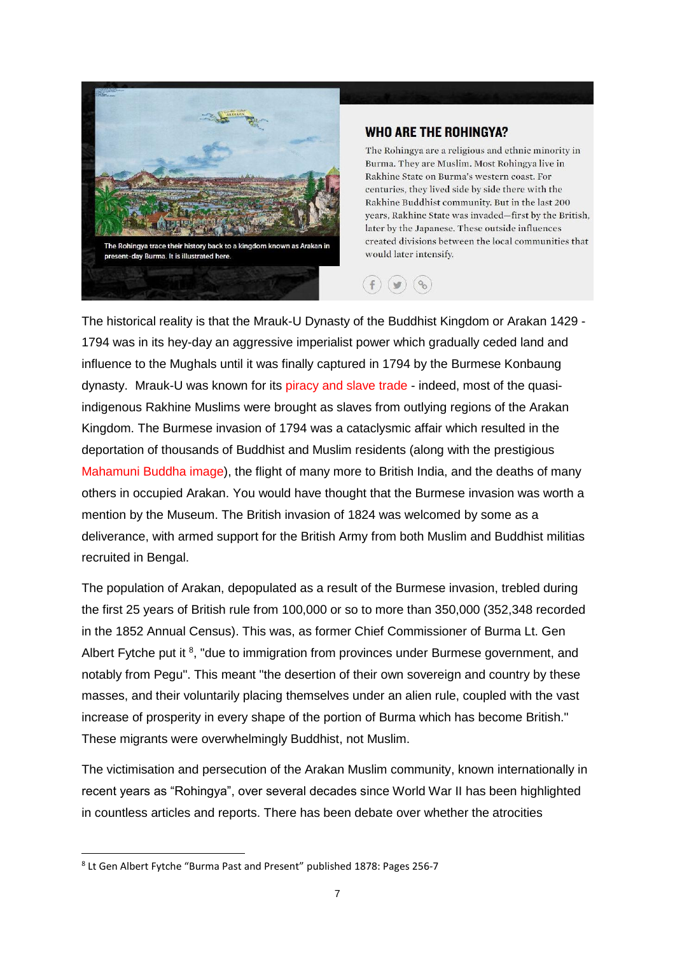

## **WHO ARE THE ROHINGYA?**

The Rohingya are a religious and ethnic minority in Burma. They are Muslim. Most Rohingya live in Rakhine State on Burma's western coast. For centuries, they lived side by side there with the Rakhine Buddhist community. But in the last 200 years, Rakhine State was invaded-first by the British, later by the Japanese. These outside influences created divisions between the local communities that would later intensify.



The historical reality is that the Mrauk-U Dynasty of the Buddhist Kingdom or Arakan 1429 - 1794 was in its hey-day an aggressive imperialist power which gradually ceded land and influence to the Mughals until it was finally captured in 1794 by the Burmese Konbaung dynasty. Mrauk-U was known for its [piracy and slave trade](http://www.networkmyanmar.org/ESW/Files/Thibaut-5.pdf) - indeed, most of the quasiindigenous Rakhine Muslims were brought as slaves from outlying regions of the Arakan Kingdom. The Burmese invasion of 1794 was a cataclysmic affair which resulted in the deportation of thousands of Buddhist and Muslim residents (along with the prestigious [Mahamuni Buddha image\)](https://buddhism-guide.com/mahamuni-buddha/), the flight of many more to British India, and the deaths of many others in occupied Arakan. You would have thought that the Burmese invasion was worth a mention by the Museum. The British invasion of 1824 was welcomed by some as a deliverance, with armed support for the British Army from both Muslim and Buddhist militias recruited in Bengal.

The population of Arakan, depopulated as a result of the Burmese invasion, trebled during the first 25 years of British rule from 100,000 or so to more than 350,000 (352,348 recorded in the 1852 Annual Census). This was, as former Chief Commissioner of Burma Lt. Gen Albert Fytche put it <sup>8</sup>, "due to immigration from provinces under Burmese government, and notably from Pegu". This meant "the desertion of their own sovereign and country by these masses, and their voluntarily placing themselves under an alien rule, coupled with the vast increase of prosperity in every shape of the portion of Burma which has become British." These migrants were overwhelmingly Buddhist, not Muslim.

The victimisation and persecution of the Arakan Muslim community, known internationally in recent years as "Rohingya", over several decades since World War II has been highlighted in countless articles and reports. There has been debate over whether the atrocities

<sup>8</sup> Lt Gen Albert Fytche "Burma Past and Present" published 1878: Pages 256-7